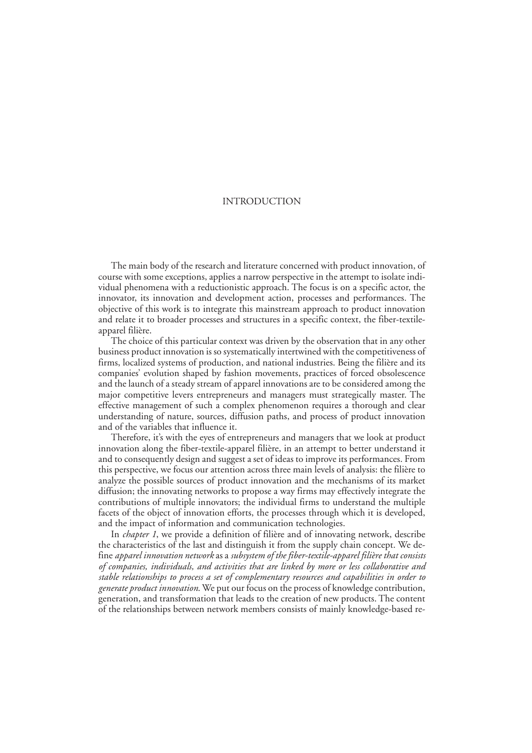# INTRODUCTION

The main body of the research and literature concerned with product innovation, of course with some exceptions, applies a narrow perspective in the attempt to isolate individual phenomena with a reductionistic approach. The focus is on a specific actor, the innovator, its innovation and development action, processes and performances. The objective of this work is to integrate this mainstream approach to product innovation and relate it to broader processes and structures in a specific context, the fiber-textileapparel filière.

The choice of this particular context was driven by the observation that in any other business product innovation is so systematically intertwined with the competitiveness of firms, localized systems of production, and national industries. Being the filière and its companies' evolution shaped by fashion movements, practices of forced obsolescence and the launch of a steady stream of apparel innovations are to be considered among the major competitive levers entrepreneurs and managers must strategically master. The effective management of such a complex phenomenon requires a thorough and clear understanding of nature, sources, diffusion paths, and process of product innovation and of the variables that influence it.

Therefore, it's with the eyes of entrepreneurs and managers that we look at product innovation along the fiber-textile-apparel filière, in an attempt to better understand it and to consequently design and suggest a set of ideas to improve its performances. From this perspective, we focus our attention across three main levels of analysis: the filière to analyze the possible sources of product innovation and the mechanisms of its market diffusion; the innovating networks to propose a way firms may effectively integrate the contributions of multiple innovators; the individual firms to understand the multiple facets of the object of innovation efforts, the processes through which it is developed, and the impact of information and communication technologies.

In *chapter 1*, we provide a definition of filière and of innovating network, describe the characteristics of the last and distinguish it from the supply chain concept. We define *apparel innovation network* as a *subsystem of the fiber-textile-apparel filière that consists of companies, individuals, and activities that are linked by more or less collaborative and stable relationships to process a set of complementary resources and capabilities in order to generate product innovation*. We put our focus on the process of knowledge contribution, generation, and transformation that leads to the creation of new products. The content of the relationships between network members consists of mainly knowledge-based re-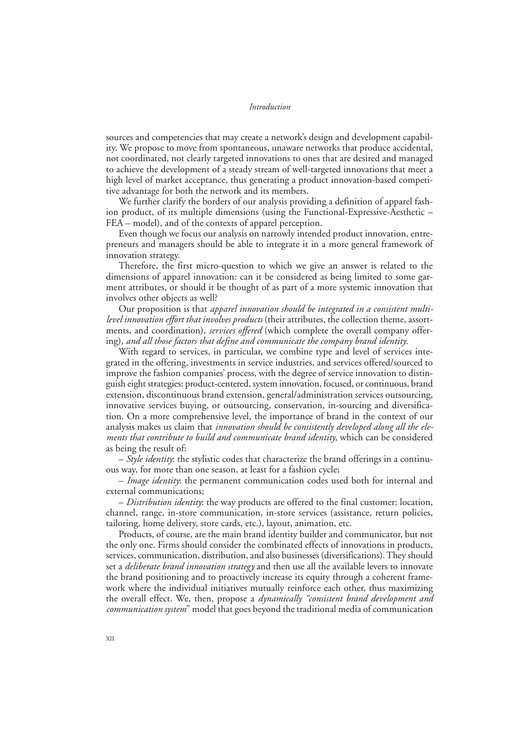sources and competencies that may create a network's design and development capability. We propose to move from spontaneous, unaware networks that produce accidental, not coordinated, not clearly targeted innovations to ones that are desired and managed to achieve the development of a steady stream of well-targeted innovations that meet a high level of market acceptance, thus generating a product innovation-based competitive advantage for both the network and its members.

We further clarify the borders of our analysis providing a definition of apparel fashion product, of its multiple dimensions (using the Functional-Expressive-Aesthetic – FEA – model), and of the contexts of apparel perception.

Even though we focus our analysis on narrowly intended product innovation, entrepreneurs and managers should be able to integrate it in a more general framework of innovation strategy.

Therefore, the first micro-question to which we give an answer is related to the dimensions of apparel innovation: can it be considered as being limited to some garment attributes, or should it be thought of as part of a more systemic innovation that involves other objects as well?

Our proposition is that *apparel innovation should be integrated in a consistent multilevel innovation effort that involves products* (their attributes, the collection theme, assortments, and coordination)*, services offered* (which complete the overall company offering), *and all those factors that define and communicate the company brand identity*.

With regard to services, in particular, we combine type and level of services integrated in the offering, investments in service industries, and services offered/sourced to improve the fashion companies' process, with the degree of service innovation to distinguish eight strategies: product-centered, system innovation, focused, or continuous, brand extension, discontinuous brand extension, general/administration services outsourcing, innovative services buying, or outsourcing, conservation, in-sourcing and diversification. On a more comprehensive level, the importance of brand in the context of our analysis makes us claim that *innovation should be consistently developed along all the elements that contribute to build and communicate brand identity*, which can be considered as being the result of:

– *Style identity*: the stylistic codes that characterize the brand offerings in a continuous way, for more than one season, at least for a fashion cycle;

– *Image identity*: the permanent communication codes used both for internal and external communications;

– *Distribution identity*: the way products are offered to the final customer: location, channel, range, in-store communication, in-store services (assistance, return policies, tailoring, home delivery, store cards, etc.), layout, animation, etc.

Products, of course, are the main brand identity builder and communicator, but not the only one. Firms should consider the combinated effects of innovations in products, services, communication, distribution, and also businesses (diversifications). They should set a *deliberate brand innovation strategy* and then use all the available levers to innovate the brand positioning and to proactively increase its equity through a coherent framework where the individual initiatives mutually reinforce each other, thus maximizing the overall effect. We, then, propose a *dynamically "consistent brand development and communication system*" model that goes beyond the traditional media of communication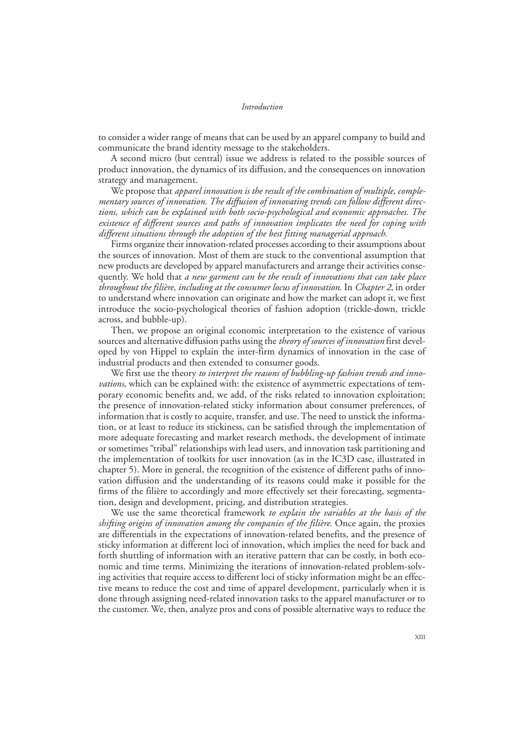to consider a wider range of means that can be used by an apparel company to build and communicate the brand identity message to the stakeholders.

A second micro (but central) issue we address is related to the possible sources of product innovation, the dynamics of its diffusion, and the consequences on innovation strategy and management.

We propose that *apparel innovation is the result of the combination of multiple, complementary sources of innovation. The diffusion of innovating trends can follow different directions, which can be explained with both socio-psychological and economic approaches. The existence of different sources and paths of innovation implicates the need for coping with different situations through the adoption of the best fitting managerial approach.*

Firms organize their innovation-related processes according to their assumptions about the sources of innovation. Most of them are stuck to the conventional assumption that new products are developed by apparel manufacturers and arrange their activities consequently. We hold that *a new garment can be the result of innovations that can take place throughout the filière, including at the consumer locus of innovation*. In *Chapter 2*, in order to understand where innovation can originate and how the market can adopt it, we first introduce the socio-psychological theories of fashion adoption (trickle-down, trickle across, and bubble-up).

Then, we propose an original economic interpretation to the existence of various sources and alternative diffusion paths using the *theory of sources of innovation* first developed by von Hippel to explain the inter-firm dynamics of innovation in the case of industrial products and then extended to consumer goods.

We first use the theory *to interpret the reasons of bubbling-up fashion trends and innovations*, which can be explained with: the existence of asymmetric expectations of temporary economic benefits and, we add, of the risks related to innovation exploitation; the presence of innovation-related sticky information about consumer preferences, of information that is costly to acquire, transfer, and use. The need to unstick the information, or at least to reduce its stickiness, can be satisfied through the implementation of more adequate forecasting and market research methods, the development of intimate or sometimes "tribal" relationships with lead users, and innovation task partitioning and the implementation of toolkits for user innovation (as in the IC3D case, illustrated in chapter 5). More in general, the recognition of the existence of different paths of innovation diffusion and the understanding of its reasons could make it possible for the firms of the filière to accordingly and more effectively set their forecasting, segmentation, design and development, pricing, and distribution strategies.

We use the same theoretical framework *to explain the variables at the basis of the shifting origins of innovation among the companies of the filière*. Once again, the proxies are differentials in the expectations of innovation-related benefits, and the presence of sticky information at different loci of innovation, which implies the need for back and forth shuttling of information with an iterative pattern that can be costly, in both economic and time terms. Minimizing the iterations of innovation-related problem-solving activities that require access to different loci of sticky information might be an effective means to reduce the cost and time of apparel development, particularly when it is done through assigning need-related innovation tasks to the apparel manufacturer or to the customer. We, then, analyze pros and cons of possible alternative ways to reduce the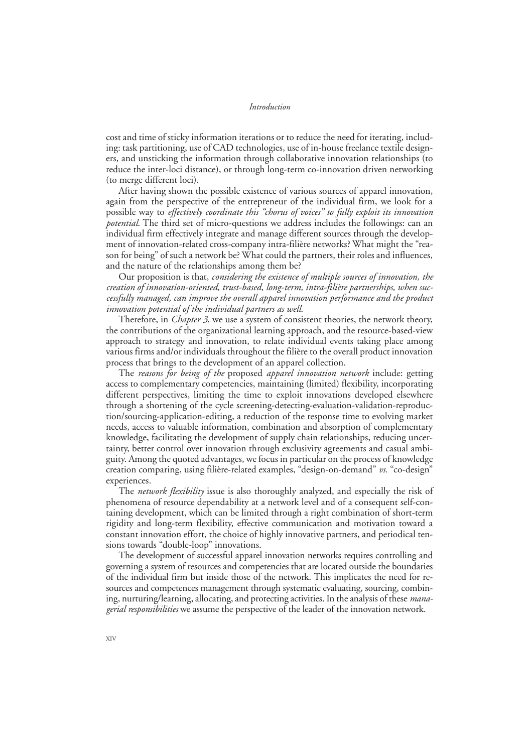cost and time of sticky information iterations or to reduce the need for iterating, including: task partitioning, use of CAD technologies, use of in-house freelance textile designers, and unsticking the information through collaborative innovation relationships (to reduce the inter-loci distance), or through long-term co-innovation driven networking (to merge different loci).

After having shown the possible existence of various sources of apparel innovation, again from the perspective of the entrepreneur of the individual firm, we look for a possible way to *effectively coordinate this "chorus of voices" to fully exploit its innovation potential*. The third set of micro-questions we address includes the followings: can an individual firm effectively integrate and manage different sources through the development of innovation-related cross-company intra-filière networks? What might the "reason for being" of such a network be? What could the partners, their roles and influences, and the nature of the relationships among them be?

Our proposition is that, *considering the existence of multiple sources of innovation, the creation of innovation-oriented, trust-based, long-term, intra-filière partnerships, when successfully managed, can improve the overall apparel innovation performance and the product innovation potential of the individual partners as well*.

Therefore, in *Chapter 3*, we use a system of consistent theories, the network theory, the contributions of the organizational learning approach, and the resource-based-view approach to strategy and innovation, to relate individual events taking place among various firms and/or individuals throughout the filière to the overall product innovation process that brings to the development of an apparel collection.

The *reasons for being of the* proposed *apparel innovation network* include: getting access to complementary competencies, maintaining (limited) flexibility, incorporating different perspectives, limiting the time to exploit innovations developed elsewhere through a shortening of the cycle screening-detecting-evaluation-validation-reproduction/sourcing-application-editing, a reduction of the response time to evolving market needs, access to valuable information, combination and absorption of complementary knowledge, facilitating the development of supply chain relationships, reducing uncertainty, better control over innovation through exclusivity agreements and casual ambiguity. Among the quoted advantages, we focus in particular on the process of knowledge creation comparing, using filière-related examples, "design-on-demand" *vs.* "co-design" experiences.

The *network flexibility* issue is also thoroughly analyzed, and especially the risk of phenomena of resource dependability at a network level and of a consequent self-containing development, which can be limited through a right combination of short-term rigidity and long-term flexibility, effective communication and motivation toward a constant innovation effort, the choice of highly innovative partners, and periodical tensions towards "double-loop" innovations.

The development of successful apparel innovation networks requires controlling and governing a system of resources and competencies that are located outside the boundaries of the individual firm but inside those of the network. This implicates the need for resources and competences management through systematic evaluating, sourcing, combining, nurturing/learning, allocating, and protecting activities. In the analysis of these *managerial responsibilities* we assume the perspective of the leader of the innovation network.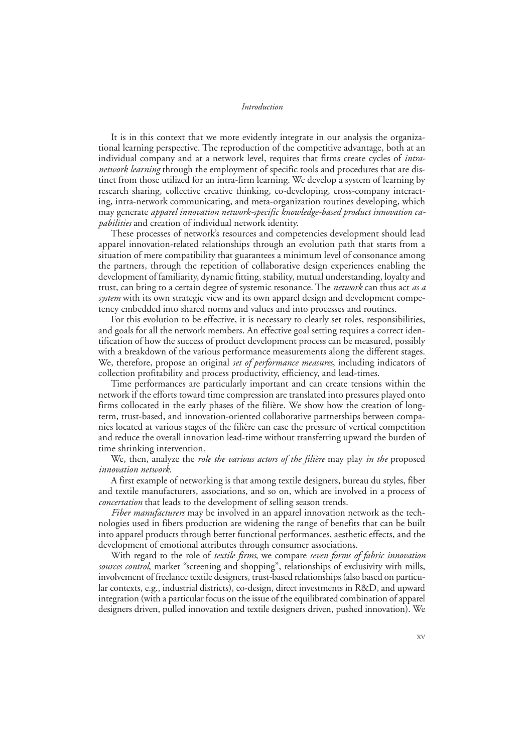It is in this context that we more evidently integrate in our analysis the organizational learning perspective. The reproduction of the competitive advantage, both at an individual company and at a network level, requires that firms create cycles of *intranetwork learning* through the employment of specific tools and procedures that are distinct from those utilized for an intra-firm learning. We develop a system of learning by research sharing, collective creative thinking, co-developing, cross-company interacting, intra-network communicating, and meta-organization routines developing, which may generate *apparel innovation network-specific knowledge-based product innovation capabilities* and creation of individual network identity.

These processes of network's resources and competencies development should lead apparel innovation-related relationships through an evolution path that starts from a situation of mere compatibility that guarantees a minimum level of consonance among the partners, through the repetition of collaborative design experiences enabling the development of familiarity, dynamic fitting, stability, mutual understanding, loyalty and trust, can bring to a certain degree of systemic resonance. The *network* can thus act *as a system* with its own strategic view and its own apparel design and development competency embedded into shared norms and values and into processes and routines.

For this evolution to be effective, it is necessary to clearly set roles, responsibilities, and goals for all the network members. An effective goal setting requires a correct identification of how the success of product development process can be measured, possibly with a breakdown of the various performance measurements along the different stages. We, therefore, propose an original *set of performance measures*, including indicators of collection profitability and process productivity, efficiency, and lead-times.

Time performances are particularly important and can create tensions within the network if the efforts toward time compression are translated into pressures played onto firms collocated in the early phases of the filière. We show how the creation of longterm, trust-based, and innovation-oriented collaborative partnerships between companies located at various stages of the filière can ease the pressure of vertical competition and reduce the overall innovation lead-time without transferring upward the burden of time shrinking intervention.

We, then, analyze the *role the various actors of the filière* may play *in the* proposed *innovation network*.

A first example of networking is that among textile designers, bureau du styles, fiber and textile manufacturers, associations, and so on, which are involved in a process of *concertation* that leads to the development of selling season trends.

*Fiber manufacturers* may be involved in an apparel innovation network as the technologies used in fibers production are widening the range of benefits that can be built into apparel products through better functional performances, aesthetic effects, and the development of emotional attributes through consumer associations.

With regard to the role of *textile firms*, we compare *seven forms of fabric innovation sources control*, market "screening and shopping", relationships of exclusivity with mills, involvement of freelance textile designers, trust-based relationships (also based on particular contexts, e.g., industrial districts), co-design, direct investments in R&D, and upward integration (with a particular focus on the issue of the equilibrated combination of apparel designers driven, pulled innovation and textile designers driven, pushed innovation). We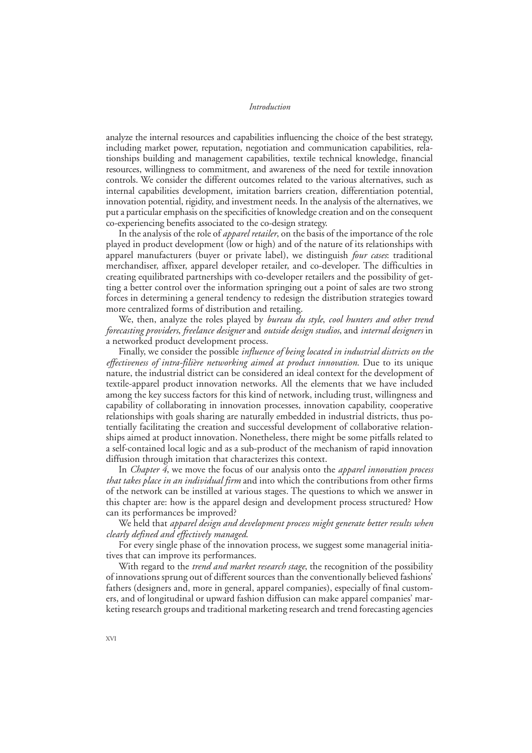analyze the internal resources and capabilities influencing the choice of the best strategy, including market power, reputation, negotiation and communication capabilities, relationships building and management capabilities, textile technical knowledge, financial resources, willingness to commitment, and awareness of the need for textile innovation controls. We consider the different outcomes related to the various alternatives, such as internal capabilities development, imitation barriers creation, differentiation potential, innovation potential, rigidity, and investment needs. In the analysis of the alternatives, we put a particular emphasis on the specificities of knowledge creation and on the consequent co-experiencing benefits associated to the co-design strategy.

In the analysis of the role of *apparel retailer*, on the basis of the importance of the role played in product development (low or high) and of the nature of its relationships with apparel manufacturers (buyer or private label), we distinguish *four cases*: traditional merchandiser, affixer, apparel developer retailer, and co-developer. The difficulties in creating equilibrated partnerships with co-developer retailers and the possibility of getting a better control over the information springing out a point of sales are two strong forces in determining a general tendency to redesign the distribution strategies toward more centralized forms of distribution and retailing.

We, then, analyze the roles played by *bureau du style*, *cool hunters and other trend forecasting providers*, *freelance designer* and *outside design studios*, and *internal designers* in a networked product development process.

Finally, we consider the possible *influence of being located in industrial districts on the effectiveness of intra-filière networking aimed at product innovation*. Due to its unique nature, the industrial district can be considered an ideal context for the development of textile-apparel product innovation networks. All the elements that we have included among the key success factors for this kind of network, including trust, willingness and capability of collaborating in innovation processes, innovation capability, cooperative relationships with goals sharing are naturally embedded in industrial districts, thus potentially facilitating the creation and successful development of collaborative relationships aimed at product innovation. Nonetheless, there might be some pitfalls related to a self-contained local logic and as a sub-product of the mechanism of rapid innovation diffusion through imitation that characterizes this context.

In *Chapter 4*, we move the focus of our analysis onto the *apparel innovation process that takes place in an individual firm* and into which the contributions from other firms of the network can be instilled at various stages. The questions to which we answer in this chapter are: how is the apparel design and development process structured? How can its performances be improved?

We held that *apparel design and development process might generate better results when clearly defined and effectively managed*.

For every single phase of the innovation process, we suggest some managerial initiatives that can improve its performances.

With regard to the *trend and market research stage*, the recognition of the possibility of innovations sprung out of different sources than the conventionally believed fashions' fathers (designers and, more in general, apparel companies), especially of final customers, and of longitudinal or upward fashion diffusion can make apparel companies' marketing research groups and traditional marketing research and trend forecasting agencies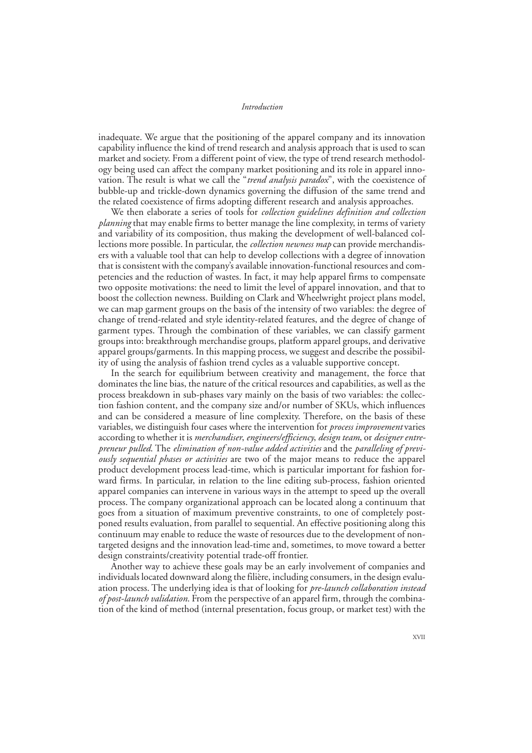inadequate. We argue that the positioning of the apparel company and its innovation capability influence the kind of trend research and analysis approach that is used to scan market and society. From a different point of view, the type of trend research methodology being used can affect the company market positioning and its role in apparel innovation. The result is what we call the "*trend analysis paradox*", with the coexistence of bubble-up and trickle-down dynamics governing the diffusion of the same trend and the related coexistence of firms adopting different research and analysis approaches.

We then elaborate a series of tools for *collection guidelines definition and collection planning* that may enable firms to better manage the line complexity, in terms of variety and variability of its composition, thus making the development of well-balanced collections more possible. In particular, the *collection newness map* can provide merchandisers with a valuable tool that can help to develop collections with a degree of innovation that is consistent with the company's available innovation-functional resources and competencies and the reduction of wastes. In fact, it may help apparel firms to compensate two opposite motivations: the need to limit the level of apparel innovation, and that to boost the collection newness. Building on Clark and Wheelwright project plans model, we can map garment groups on the basis of the intensity of two variables: the degree of change of trend-related and style identity-related features, and the degree of change of garment types. Through the combination of these variables, we can classify garment groups into: breakthrough merchandise groups, platform apparel groups, and derivative apparel groups/garments. In this mapping process, we suggest and describe the possibility of using the analysis of fashion trend cycles as a valuable supportive concept.

In the search for equilibrium between creativity and management, the force that dominates the line bias, the nature of the critical resources and capabilities, as well as the process breakdown in sub-phases vary mainly on the basis of two variables: the collection fashion content, and the company size and/or number of SKUs, which influences and can be considered a measure of line complexity. Therefore, on the basis of these variables, we distinguish four cases where the intervention for *process improvement* varies according to whether it is *merchandiser*, *engineers/efficiency*, *design team*, or *designer entrepreneur pulled*. The *elimination of non-value added activities* and the *paralleling of previously sequential phases or activities* are two of the major means to reduce the apparel product development process lead-time, which is particular important for fashion forward firms. In particular, in relation to the line editing sub-process, fashion oriented apparel companies can intervene in various ways in the attempt to speed up the overall process. The company organizational approach can be located along a continuum that goes from a situation of maximum preventive constraints, to one of completely postponed results evaluation, from parallel to sequential. An effective positioning along this continuum may enable to reduce the waste of resources due to the development of nontargeted designs and the innovation lead-time and, sometimes, to move toward a better design constraints/creativity potential trade-off frontier.

Another way to achieve these goals may be an early involvement of companies and individuals located downward along the filière, including consumers, in the design evaluation process. The underlying idea is that of looking for *pre-launch collaboration instead of post-launch validation*. From the perspective of an apparel firm, through the combination of the kind of method (internal presentation, focus group, or market test) with the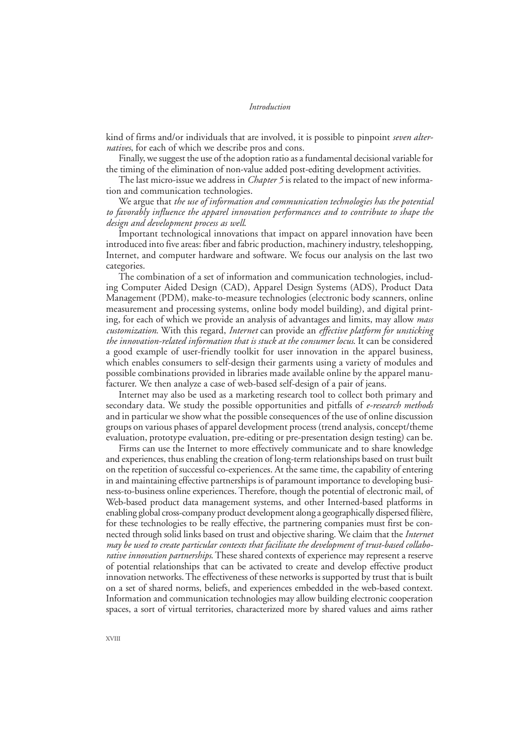kind of firms and/or individuals that are involved, it is possible to pinpoint *seven alternatives*, for each of which we describe pros and cons.

Finally, we suggest the use of the adoption ratio as a fundamental decisional variable for the timing of the elimination of non-value added post-editing development activities.

The last micro-issue we address in *Chapter 5* is related to the impact of new information and communication technologies.

We argue that *the use of information and communication technologies has the potential to favorably influence the apparel innovation performances and to contribute to shape the design and development process as well*.

Important technological innovations that impact on apparel innovation have been introduced into five areas: fiber and fabric production, machinery industry, teleshopping, Internet, and computer hardware and software. We focus our analysis on the last two categories.

The combination of a set of information and communication technologies, including Computer Aided Design (CAD), Apparel Design Systems (ADS), Product Data Management (PDM), make-to-measure technologies (electronic body scanners, online measurement and processing systems, online body model building), and digital printing, for each of which we provide an analysis of advantages and limits, may allow *mass customization*. With this regard, *Internet* can provide an *effective platform for unsticking the innovation-related information that is stuck at the consumer locus*. It can be considered a good example of user-friendly toolkit for user innovation in the apparel business, which enables consumers to self-design their garments using a variety of modules and possible combinations provided in libraries made available online by the apparel manufacturer. We then analyze a case of web-based self-design of a pair of jeans.

Internet may also be used as a marketing research tool to collect both primary and secondary data. We study the possible opportunities and pitfalls of *e-research methods* and in particular we show what the possible consequences of the use of online discussion groups on various phases of apparel development process (trend analysis, concept/theme evaluation, prototype evaluation, pre-editing or pre-presentation design testing) can be.

Firms can use the Internet to more effectively communicate and to share knowledge and experiences, thus enabling the creation of long-term relationships based on trust built on the repetition of successful co-experiences. At the same time, the capability of entering in and maintaining effective partnerships is of paramount importance to developing business-to-business online experiences. Therefore, though the potential of electronic mail, of Web-based product data management systems, and other Interned-based platforms in enabling global cross-company product development along a geographically dispersed filière, for these technologies to be really effective, the partnering companies must first be connected through solid links based on trust and objective sharing. We claim that the *Internet may be used to create particular contexts that facilitate the development of trust-based collaborative innovation partnerships*. These shared contexts of experience may represent a reserve of potential relationships that can be activated to create and develop effective product innovation networks. The effectiveness of these networks is supported by trust that is built on a set of shared norms, beliefs, and experiences embedded in the web-based context. Information and communication technologies may allow building electronic cooperation spaces, a sort of virtual territories, characterized more by shared values and aims rather